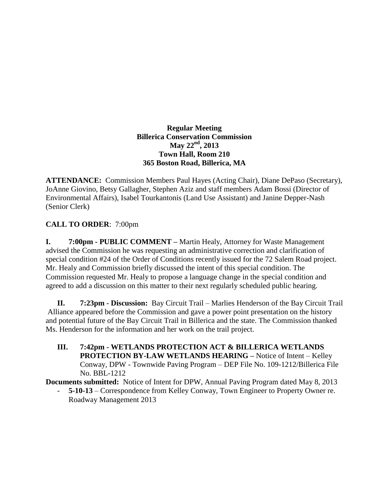**Regular Meeting Billerica Conservation Commission May 22nd , 2013 Town Hall, Room 210 365 Boston Road, Billerica, MA**

**ATTENDANCE:** Commission Members Paul Hayes (Acting Chair), Diane DePaso (Secretary), JoAnne Giovino, Betsy Gallagher, Stephen Aziz and staff members Adam Bossi (Director of Environmental Affairs), Isabel Tourkantonis (Land Use Assistant) and Janine Depper-Nash (Senior Clerk)

## **CALL TO ORDER**: 7:00pm

**I. 7:00pm - PUBLIC COMMENT –** Martin Healy, Attorney for Waste Management advised the Commission he was requesting an administrative correction and clarification of special condition #24 of the Order of Conditions recently issued for the 72 Salem Road project. Mr. Healy and Commission briefly discussed the intent of this special condition. The Commission requested Mr. Healy to propose a language change in the special condition and agreed to add a discussion on this matter to their next regularly scheduled public hearing.

**II. 7:23pm - Discussion:** Bay Circuit Trail – Marlies Henderson of the Bay Circuit Trail Alliance appeared before the Commission and gave a power point presentation on the history and potential future of the Bay Circuit Trail in Billerica and the state. The Commission thanked Ms. Henderson for the information and her work on the trail project.

**III. 7:42pm - WETLANDS PROTECTION ACT & BILLERICA WETLANDS PROTECTION BY-LAW WETLANDS HEARING –** Notice of Intent – Kelley Conway, DPW - Townwide Paving Program – DEP File No. 109-1212/Billerica File No. BBL-1212

**Documents submitted:** Notice of Intent for DPW, Annual Paving Program dated May 8, 2013

- **5-10-13** – Correspondence from Kelley Conway, Town Engineer to Property Owner re. Roadway Management 2013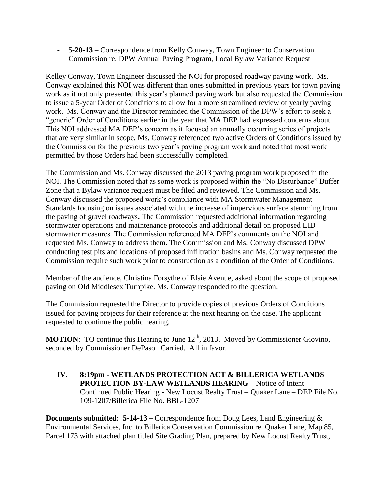- **5-20-13** – Correspondence from Kelly Conway, Town Engineer to Conservation Commission re. DPW Annual Paving Program, Local Bylaw Variance Request

Kelley Conway, Town Engineer discussed the NOI for proposed roadway paving work. Ms. Conway explained this NOI was different than ones submitted in previous years for town paving work as it not only presented this year's planned paving work but also requested the Commission to issue a 5-year Order of Conditions to allow for a more streamlined review of yearly paving work. Ms. Conway and the Director reminded the Commission of the DPW's effort to seek a "generic" Order of Conditions earlier in the year that MA DEP had expressed concerns about. This NOI addressed MA DEP's concern as it focused an annually occurring series of projects that are very similar in scope. Ms. Conway referenced two active Orders of Conditions issued by the Commission for the previous two year's paving program work and noted that most work permitted by those Orders had been successfully completed.

The Commission and Ms. Conway discussed the 2013 paving program work proposed in the NOI. The Commission noted that as some work is proposed within the "No Disturbance" Buffer Zone that a Bylaw variance request must be filed and reviewed. The Commission and Ms. Conway discussed the proposed work's compliance with MA Stormwater Management Standards focusing on issues associated with the increase of impervious surface stemming from the paving of gravel roadways. The Commission requested additional information regarding stormwater operations and maintenance protocols and additional detail on proposed LID stormwater measures. The Commission referenced MA DEP's comments on the NOI and requested Ms. Conway to address them. The Commission and Ms. Conway discussed DPW conducting test pits and locations of proposed infiltration basins and Ms. Conway requested the Commission require such work prior to construction as a condition of the Order of Conditions.

Member of the audience, Christina Forsythe of Elsie Avenue, asked about the scope of proposed paving on Old Middlesex Turnpike. Ms. Conway responded to the question.

The Commission requested the Director to provide copies of previous Orders of Conditions issued for paving projects for their reference at the next hearing on the case. The applicant requested to continue the public hearing.

**MOTION:** TO continue this Hearing to June 12<sup>th</sup>, 2013. Moved by Commissioner Giovino, seconded by Commissioner DePaso. Carried. All in favor.

**IV. 8:19pm - WETLANDS PROTECTION ACT & BILLERICA WETLANDS PROTECTION BY-LAW WETLANDS HEARING –** Notice of Intent – Continued Public Hearing - New Locust Realty Trust – Quaker Lane – DEP File No. 109-1207/Billerica File No. BBL-1207

**Documents submitted: 5-14-13** – Correspondence from Doug Lees, Land Engineering  $\&$ Environmental Services, Inc. to Billerica Conservation Commission re. Quaker Lane, Map 85, Parcel 173 with attached plan titled Site Grading Plan, prepared by New Locust Realty Trust,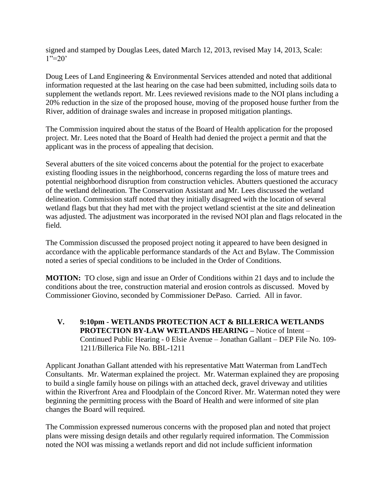signed and stamped by Douglas Lees, dated March 12, 2013, revised May 14, 2013, Scale:  $1"=20'$ 

Doug Lees of Land Engineering & Environmental Services attended and noted that additional information requested at the last hearing on the case had been submitted, including soils data to supplement the wetlands report. Mr. Lees reviewed revisions made to the NOI plans including a 20% reduction in the size of the proposed house, moving of the proposed house further from the River, addition of drainage swales and increase in proposed mitigation plantings.

The Commission inquired about the status of the Board of Health application for the proposed project. Mr. Lees noted that the Board of Health had denied the project a permit and that the applicant was in the process of appealing that decision.

Several abutters of the site voiced concerns about the potential for the project to exacerbate existing flooding issues in the neighborhood, concerns regarding the loss of mature trees and potential neighborhood disruption from construction vehicles. Abutters questioned the accuracy of the wetland delineation. The Conservation Assistant and Mr. Lees discussed the wetland delineation. Commission staff noted that they initially disagreed with the location of several wetland flags but that they had met with the project wetland scientist at the site and delineation was adjusted. The adjustment was incorporated in the revised NOI plan and flags relocated in the field.

The Commission discussed the proposed project noting it appeared to have been designed in accordance with the applicable performance standards of the Act and Bylaw. The Commission noted a series of special conditions to be included in the Order of Conditions.

**MOTION:** TO close, sign and issue an Order of Conditions within 21 days and to include the conditions about the tree, construction material and erosion controls as discussed. Moved by Commissioner Giovino, seconded by Commissioner DePaso. Carried. All in favor.

**V. 9:10pm - WETLANDS PROTECTION ACT & BILLERICA WETLANDS PROTECTION BY-LAW WETLANDS HEARING –** Notice of Intent – Continued Public Hearing - 0 Elsie Avenue – Jonathan Gallant – DEP File No. 109- 1211/Billerica File No. BBL-1211

Applicant Jonathan Gallant attended with his representative Matt Waterman from LandTech Consultants. Mr. Waterman explained the project. Mr. Waterman explained they are proposing to build a single family house on pilings with an attached deck, gravel driveway and utilities within the Riverfront Area and Floodplain of the Concord River. Mr. Waterman noted they were beginning the permitting process with the Board of Health and were informed of site plan changes the Board will required.

The Commission expressed numerous concerns with the proposed plan and noted that project plans were missing design details and other regularly required information. The Commission noted the NOI was missing a wetlands report and did not include sufficient information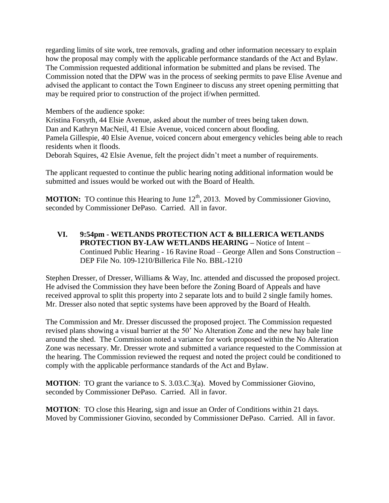regarding limits of site work, tree removals, grading and other information necessary to explain how the proposal may comply with the applicable performance standards of the Act and Bylaw. The Commission requested additional information be submitted and plans be revised. The Commission noted that the DPW was in the process of seeking permits to pave Elise Avenue and advised the applicant to contact the Town Engineer to discuss any street opening permitting that may be required prior to construction of the project if/when permitted.

Members of the audience spoke:

Kristina Forsyth, 44 Elsie Avenue, asked about the number of trees being taken down. Dan and Kathryn MacNeil, 41 Elsie Avenue, voiced concern about flooding. Pamela Gillespie, 40 Elsie Avenue, voiced concern about emergency vehicles being able to reach residents when it floods.

Deborah Squires, 42 Elsie Avenue, felt the project didn't meet a number of requirements.

The applicant requested to continue the public hearing noting additional information would be submitted and issues would be worked out with the Board of Health.

**MOTION:** TO continue this Hearing to June 12<sup>th</sup>, 2013. Moved by Commissioner Giovino, seconded by Commissioner DePaso. Carried. All in favor.

**VI. 9:54pm - WETLANDS PROTECTION ACT & BILLERICA WETLANDS PROTECTION BY-LAW WETLANDS HEARING –** Notice of Intent – Continued Public Hearing - 16 Ravine Road – George Allen and Sons Construction – DEP File No. 109-1210/Billerica File No. BBL-1210

Stephen Dresser, of Dresser, Williams & Way, Inc. attended and discussed the proposed project. He advised the Commission they have been before the Zoning Board of Appeals and have received approval to split this property into 2 separate lots and to build 2 single family homes. Mr. Dresser also noted that septic systems have been approved by the Board of Health.

The Commission and Mr. Dresser discussed the proposed project. The Commission requested revised plans showing a visual barrier at the 50' No Alteration Zone and the new hay bale line around the shed. The Commission noted a variance for work proposed within the No Alteration Zone was necessary. Mr. Dresser wrote and submitted a variance requested to the Commission at the hearing. The Commission reviewed the request and noted the project could be conditioned to comply with the applicable performance standards of the Act and Bylaw.

**MOTION**: TO grant the variance to S. 3.03.C.3(a). Moved by Commissioner Giovino, seconded by Commissioner DePaso. Carried. All in favor.

**MOTION**: TO close this Hearing, sign and issue an Order of Conditions within 21 days. Moved by Commissioner Giovino, seconded by Commissioner DePaso. Carried. All in favor.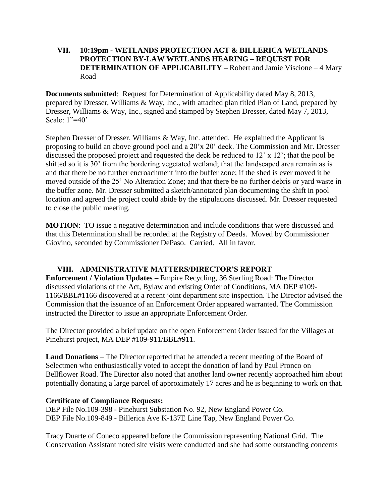## **VII. 10:19pm - WETLANDS PROTECTION ACT & BILLERICA WETLANDS PROTECTION BY-LAW WETLANDS HEARING – REQUEST FOR DETERMINATION OF APPLICABILITY –** Robert and Jamie Viscione – 4 Mary Road

**Documents submitted**: Request for Determination of Applicability dated May 8, 2013, prepared by Dresser, Williams & Way, Inc., with attached plan titled Plan of Land, prepared by Dresser, Williams & Way, Inc., signed and stamped by Stephen Dresser, dated May 7, 2013, Scale: 1"=40'

Stephen Dresser of Dresser, Williams & Way, Inc. attended. He explained the Applicant is proposing to build an above ground pool and a 20'x 20' deck. The Commission and Mr. Dresser discussed the proposed project and requested the deck be reduced to 12' x 12'; that the pool be shifted so it is 30' from the bordering vegetated wetland; that the landscaped area remain as is and that there be no further encroachment into the buffer zone; if the shed is ever moved it be moved outside of the 25' No Alteration Zone; and that there be no further debris or yard waste in the buffer zone. Mr. Dresser submitted a sketch/annotated plan documenting the shift in pool location and agreed the project could abide by the stipulations discussed. Mr. Dresser requested to close the public meeting.

**MOTION:** TO issue a negative determination and include conditions that were discussed and that this Determination shall be recorded at the Registry of Deeds. Moved by Commissioner Giovino, seconded by Commissioner DePaso. Carried. All in favor.

## **VIII. ADMINISTRATIVE MATTERS/DIRECTOR'S REPORT**

**Enforcement / Violation Updates –** Empire Recycling, 36 Sterling Road: The Director discussed violations of the Act, Bylaw and existing Order of Conditions, MA DEP #109- 1166/BBL#1166 discovered at a recent joint department site inspection. The Director advised the Commission that the issuance of an Enforcement Order appeared warranted. The Commission instructed the Director to issue an appropriate Enforcement Order.

The Director provided a brief update on the open Enforcement Order issued for the Villages at Pinehurst project, MA DEP #109-911/BBL#911.

**Land Donations** – The Director reported that he attended a recent meeting of the Board of Selectmen who enthusiastically voted to accept the donation of land by Paul Pronco on Bellflower Road. The Director also noted that another land owner recently approached him about potentially donating a large parcel of approximately 17 acres and he is beginning to work on that.

## **Certificate of Compliance Requests:**

DEP File No.109-398 - Pinehurst Substation No. 92, New England Power Co. DEP File No.109-849 - Billerica Ave K-137E Line Tap, New England Power Co.

Tracy Duarte of Coneco appeared before the Commission representing National Grid. The Conservation Assistant noted site visits were conducted and she had some outstanding concerns